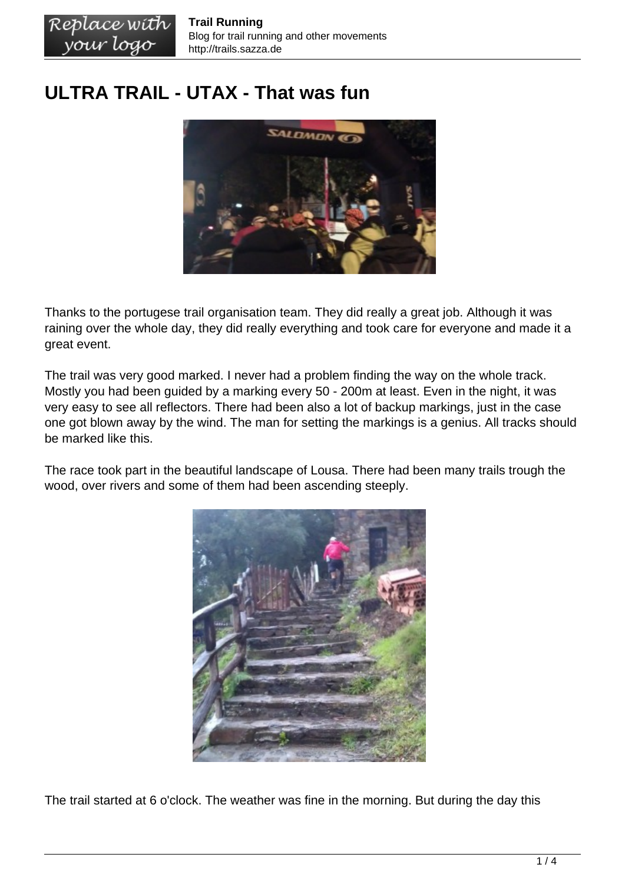## **ULTRA TRAIL - UTAX - That was fun**



Thanks to the portugese trail organisation team. They did really a great job. Although it was raining over the whole day, they did really everything and took care for everyone and made it a great event.

The trail was very good marked. I never had a problem finding the way on the whole track. Mostly you had been guided by a marking every 50 - 200m at least. Even in the night, it was very easy to see all reflectors. There had been also a lot of backup markings, just in the case one got blown away by the wind. The man for setting the markings is a genius. All tracks should be marked like this.

The race took part in the beautiful landscape of Lousa. There had been many trails trough the wood, over rivers and some of them had been ascending steeply.



The trail started at 6 o'clock. The weather was fine in the morning. But during the day this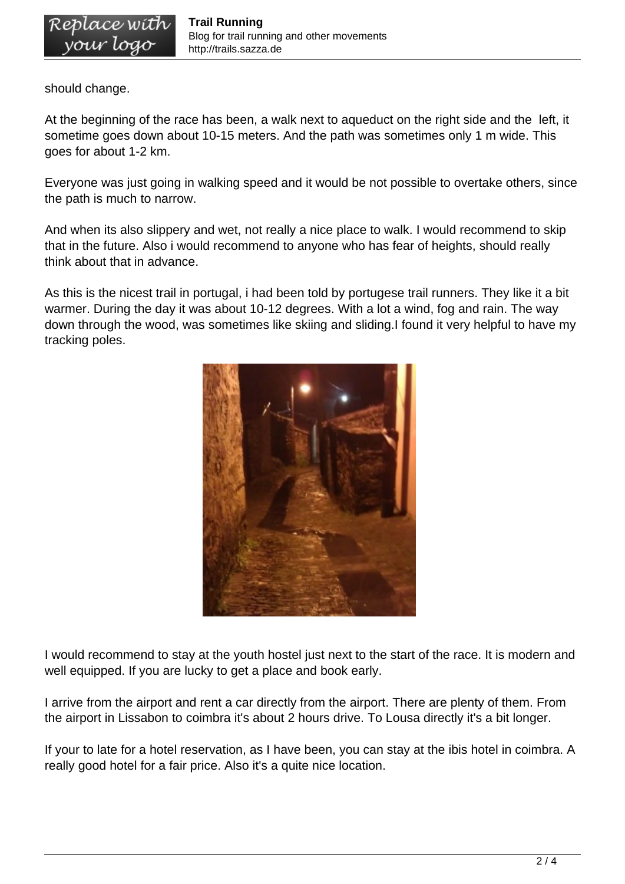should change.

At the beginning of the race has been, a walk next to aqueduct on the right side and the left, it sometime goes down about 10-15 meters. And the path was sometimes only 1 m wide. This goes for about 1-2 km.

Everyone was just going in walking speed and it would be not possible to overtake others, since the path is much to narrow.

And when its also slippery and wet, not really a nice place to walk. I would recommend to skip that in the future. Also i would recommend to anyone who has fear of heights, should really think about that in advance.

As this is the nicest trail in portugal, i had been told by portugese trail runners. They like it a bit warmer. During the day it was about 10-12 degrees. With a lot a wind, fog and rain. The way down through the wood, was sometimes like skiing and sliding.I found it very helpful to have my tracking poles.



I would recommend to stay at the youth hostel just next to the start of the race. It is modern and well equipped. If you are lucky to get a place and book early.

I arrive from the airport and rent a car directly from the airport. There are plenty of them. From the airport in Lissabon to coimbra it's about 2 hours drive. To Lousa directly it's a bit longer.

If your to late for a hotel reservation, as I have been, you can stay at the ibis hotel in coimbra. A really good hotel for a fair price. Also it's a quite nice location.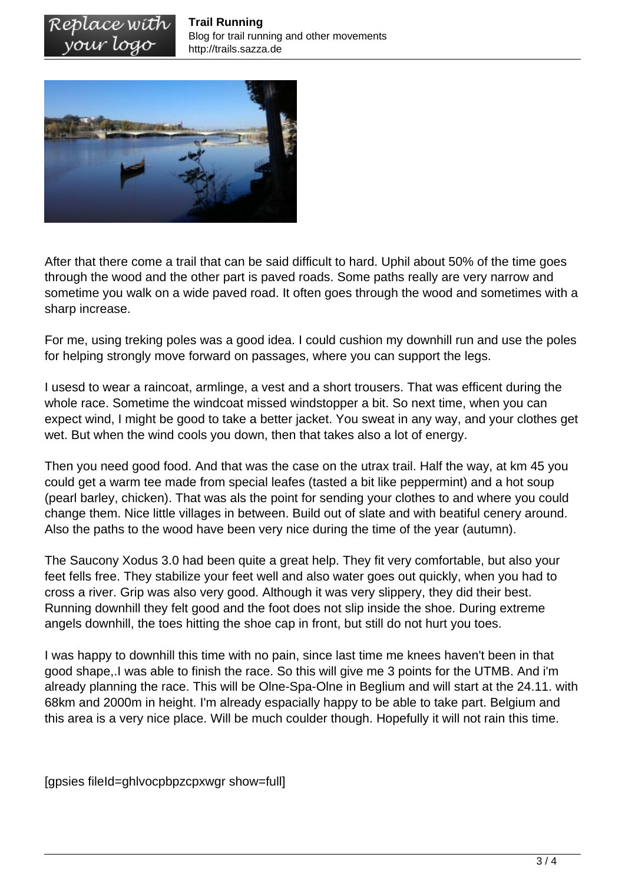

After that there come a trail that can be said difficult to hard. Uphil about 50% of the time goes through the wood and the other part is paved roads. Some paths really are very narrow and sometime you walk on a wide paved road. It often goes through the wood and sometimes with a sharp increase.

For me, using treking poles was a good idea. I could cushion my downhill run and use the poles for helping strongly move forward on passages, where you can support the legs.

I usesd to wear a raincoat, armlinge, a vest and a short trousers. That was efficent during the whole race. Sometime the windcoat missed windstopper a bit. So next time, when you can expect wind, I might be good to take a better jacket. You sweat in any way, and your clothes get wet. But when the wind cools you down, then that takes also a lot of energy.

Then you need good food. And that was the case on the utrax trail. Half the way, at km 45 you could get a warm tee made from special leafes (tasted a bit like peppermint) and a hot soup (pearl barley, chicken). That was als the point for sending your clothes to and where you could change them. Nice little villages in between. Build out of slate and with beatiful cenery around. Also the paths to the wood have been very nice during the time of the year (autumn).

The Saucony Xodus 3.0 had been quite a great help. They fit very comfortable, but also your feet fells free. They stabilize your feet well and also water goes out quickly, when you had to cross a river. Grip was also very good. Although it was very slippery, they did their best. Running downhill they felt good and the foot does not slip inside the shoe. During extreme angels downhill, the toes hitting the shoe cap in front, but still do not hurt you toes.

I was happy to downhill this time with no pain, since last time me knees haven't been in that good shape,.I was able to finish the race. So this will give me 3 points for the UTMB. And i'm already planning the race. This will be Olne-Spa-Olne in Beglium and will start at the 24.11. with 68km and 2000m in height. I'm already espacially happy to be able to take part. Belgium and this area is a very nice place. Will be much coulder though. Hopefully it will not rain this time.

[gpsies fileId=ghlvocpbpzcpxwgr show=full]